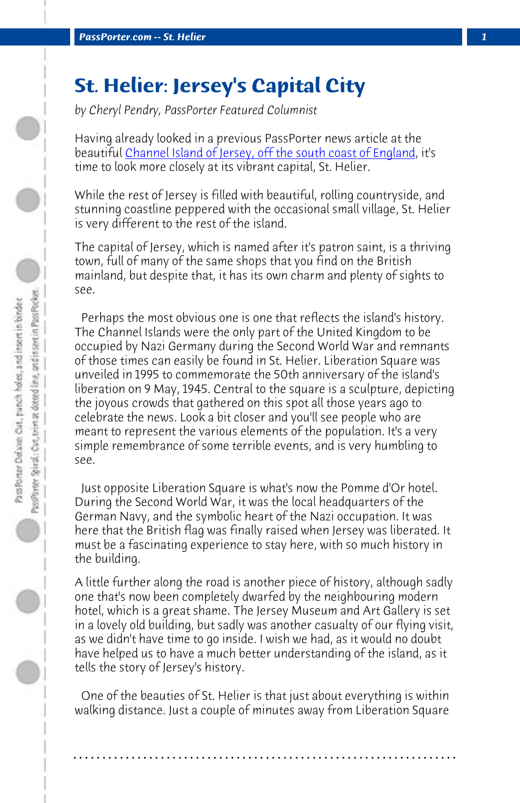**PassPorter.com -- St. Helier** 

## **St. Helier: Jersey's Capital City**

*by Cheryl Pendry, PassPorter Featured Columnist*

Having already looked in a previous PassPorter news article at the beautiful Channel Island of Jersey, off the south coast of England, it's time to look more closely at its vibrant capital, St. Helier.

While the rest of Jersey is filled with beautiful, rolling countryside, and stunning coastline peppered with the occasional small village, St. Helier is very different to the rest of the island.

The capital of Jersey, which is named after it's patron saint, is a thriving town, full of many of the same shops that you find on the British mainland, but despite that, it has its own charm and plenty of sights to see.

 Perhaps the most obvious one is one that reflects the island's history. The Channel Islands were the only part of the United Kingdom to be occupied by Nazi Germany during the Second World War and remnants of those times can easily be found in St. Helier. Liberation Square was unveiled in 1995 to commemorate the 50th anniversary of the island's liberation on 9 May, 1945. Central to the square is a sculpture, depicting the joyous crowds that gathered on this spot all those years ago to celebrate the news. Look a bit closer and you'll see people who are meant to represent the various elements of the population. It's a very simple remembrance of some terrible events, and is very humbling to see.

 Just opposite Liberation Square is what's now the Pomme d'Or hotel. During the Second World War, it was the local headquarters of the German Navy, and the symbolic heart of the Nazi occupation. It was here that the British flag was finally raised when Jersey was liberated. It must be a fascinating experience to stay here, with so much history in the building.

A little further along the road is another piece of history, although sadly one that's now been completely dwarfed by the neighbouring modern hotel, which is a great shame. The Jersey Museum and Art Gallery is set in a lovely old building, but sadly was another casualty of our flying visit, as we didn't have time to go inside. I wish we had, as it would no doubt have helped us to have a much better understanding of the island, as it tells the story of Jersey's history.

 One of the beauties of St. Helier is that just about everything is within walking distance. Just a couple of minutes away from Liberation Square

**. . . . . . . . . . . . . . . . . . . . . . . . . . . . . . . . . . . . . . . . . . . . . . . . . . . . . . . . . . . . . . . . . .**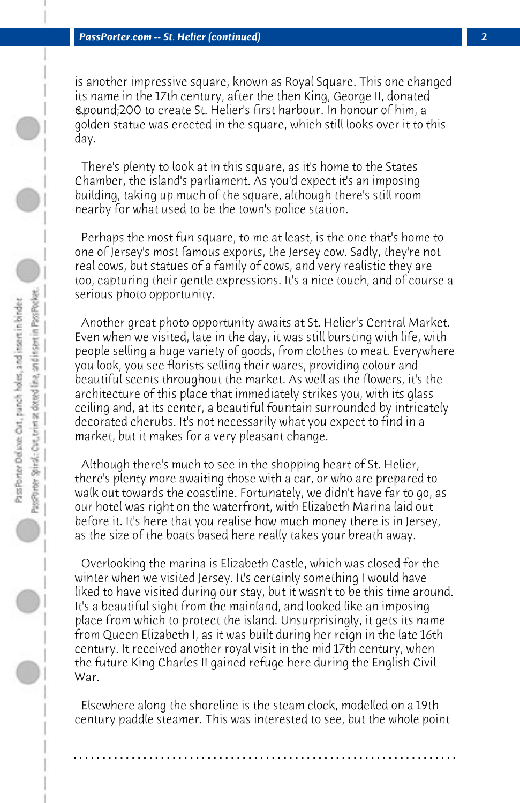is another impressive square, known as Royal Square. This one changed its name in the 17th century, after the then King, George II, donated £200 to create St. Helier's first harbour. In honour of him, a golden statue was erected in the square, which still looks over it to this day.

 There's plenty to look at in this square, as it's home to the States Chamber, the island's parliament. As you'd expect it's an imposing building, taking up much of the square, although there's still room nearby for what used to be the town's police station.

 Perhaps the most fun square, to me at least, is the one that's home to one of Jersey's most famous exports, the Jersey cow. Sadly, they're not real cows, but statues of a family of cows, and very realistic they are too, capturing their gentle expressions. It's a nice touch, and of course a serious photo opportunity.

 Another great photo opportunity awaits at St. Helier's Central Market. Even when we visited, late in the day, it was still bursting with life, with people selling a huge variety of goods, from clothes to meat. Everywhere you look, you see florists selling their wares, providing colour and beautiful scents throughout the market. As well as the flowers, it's the architecture of this place that immediately strikes you, with its glass ceiling and, at its center, a beautiful fountain surrounded by intricately decorated cherubs. It's not necessarily what you expect to find in a market, but it makes for a very pleasant change.

 Although there's much to see in the shopping heart of St. Helier, there's plenty more awaiting those with a car, or who are prepared to walk out towards the coastline. Fortunately, we didn't have far to go, as our hotel was right on the waterfront, with Elizabeth Marina laid out before it. It's here that you realise how much money there is in Jersey, as the size of the boats based here really takes your breath away.

 Overlooking the marina is Elizabeth Castle, which was closed for the winter when we visited Jersey. It's certainly something I would have liked to have visited during our stay, but it wasn't to be this time around. It's a beautiful sight from the mainland, and looked like an imposing place from which to protect the island. Unsurprisingly, it gets its name from Queen Elizabeth I, as it was built during her reign in the late 16th century. It received another royal visit in the mid 17th century, when the future King Charles II gained refuge here during the English Civil War.

 Elsewhere along the shoreline is the steam clock, modelled on a 19th century paddle steamer. This was interested to see, but the whole point

**. . . . . . . . . . . . . . . . . . . . . . . . . . . . . . . . . . . . . . . . . . . . . . . . . . . . . . . . . . . . . . . . . .**